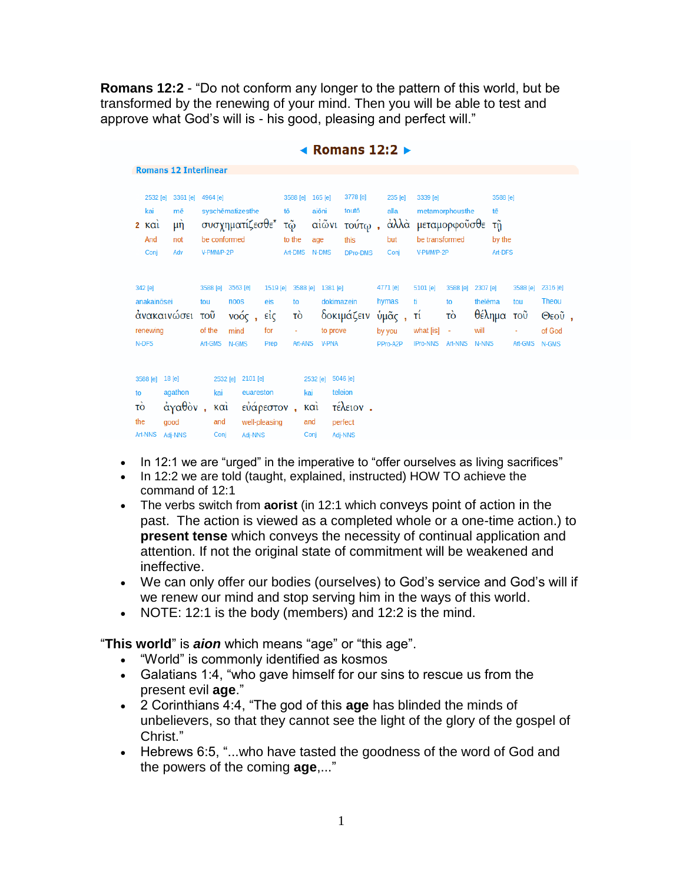**Romans 12:2** - "Do not conform any longer to the pattern of this world, but be transformed by the renewing of your mind. Then you will be able to test and approve what God's will is - his good, pleasing and perfect will."

|                                             |                                                     |                                             |                                                                               |                                                                 |                          |                                                                                                                                                                                              | NUMBER 1414                                           |                                                 |      |                                                                              |                                                             |                                                |                                     |                                                       |
|---------------------------------------------|-----------------------------------------------------|---------------------------------------------|-------------------------------------------------------------------------------|-----------------------------------------------------------------|--------------------------|----------------------------------------------------------------------------------------------------------------------------------------------------------------------------------------------|-------------------------------------------------------|-------------------------------------------------|------|------------------------------------------------------------------------------|-------------------------------------------------------------|------------------------------------------------|-------------------------------------|-------------------------------------------------------|
|                                             | <b>Romans 12 Interlinear</b>                        |                                             |                                                                               |                                                                 |                          |                                                                                                                                                                                              |                                                       |                                                 |      |                                                                              |                                                             |                                                |                                     |                                                       |
| kai<br>$k\alpha i$<br>2<br>And<br>Conj      | 3361 [e]<br>2532 [e]<br>mē<br>$\mu$ ή<br>not<br>Adv |                                             | 4964 [e]<br>syschēmatizesthe<br>συσχηματίζεσθε*<br>be conformed<br>V-PMM/P-2P |                                                                 |                          | 3778 [e]<br>3588 [e]<br>165 [e]<br>toutō<br>tō<br>aiōni<br>$\alpha\tilde{\text{i}}\tilde{\omega}\nu\text{i}$<br>τούτω,<br>τῷ<br>to the<br>this<br>age<br>Art-DMS<br>N-DMS<br><b>DPro-DMS</b> |                                                       | 235 [e]<br>alla<br>but<br>Conj                  | άλλὰ | 3339 [e]<br>metamorphousthe<br>μεταμορφούσθε<br>be transformed<br>V-PMM/P-2P |                                                             | tē                                             | 3588 [e]<br>τñ<br>by the<br>Art-DFS |                                                       |
| 342 [e]<br>anakainōsei<br>renewing<br>N-DFS | ανακαινώσει                                         | 3588 [e]<br>tou<br>τοῦ<br>of the<br>Art-GMS | 3563 [e]<br>noos<br>$\mathbf{v}$ οός,<br>mind<br>N-GMS                        | 1519 [e]<br>eis<br>είς<br>for<br>Prep                           | to<br>τò<br>÷<br>Art-ANS | 3588 [e] 1381 [e]<br>dokimazein<br>to prove<br><b>V-PNA</b>                                                                                                                                  | δοκιμάζειν                                            | 4771 [e]<br>hymas<br>ὑμᾶς<br>by you<br>PPro-A2P |      | 5101 [e]<br>ti.<br>τί<br>what [is]<br><b>IPro-NNS</b>                        | 3588 [e]<br>to<br>τò<br>$\overline{\phantom{a}}$<br>Art-NNS | 2307 [e]<br>thelēma<br>θέλημα<br>will<br>N-NNS | 3588 [e]<br>tou<br>τοῦ<br>Art-GMS   | 2316 [e]<br>Theou<br>$\Theta$ εοῦ,<br>of God<br>N-GMS |
| 3588 [e]<br>to<br>τò<br>the<br>Art-NNS      | 18 [e]<br>agathon<br>άγαθὸν,<br>good<br>Adj-NNS     | kai<br>$k\alpha i$<br>and<br>Conj           | 2532 [e]                                                                      | 2101 [e]<br>euareston<br>εὐάρεστον,<br>well-pleasing<br>Adj-NNS |                          | 2532 [e]<br>kai<br>$k\alpha i$<br>and<br>Conj                                                                                                                                                | 5046 [e]<br>teleion<br>τέλειον.<br>perfect<br>Adj-NNS |                                                 |      |                                                                              |                                                             |                                                |                                     |                                                       |

 $\blacksquare$  Romans 12.2

- In 12:1 we are "urged" in the imperative to "offer ourselves as living sacrifices"
- In 12:2 we are told (taught, explained, instructed) HOW TO achieve the command of 12:1
- The verbs switch from **aorist** (in 12:1 which conveys point of action in the past. The action is viewed as a completed whole or a one-time action.) to **present tense** which conveys the necessity of continual application and attention. If not the original state of commitment will be weakened and ineffective.
- We can only offer our bodies (ourselves) to God's service and God's will if we renew our mind and stop serving him in the ways of this world.
- NOTE: 12:1 is the body (members) and 12:2 is the mind.

"**This world**" is *aion* which means "age" or "this age".

- "World" is commonly identified as kosmos
- Galatians 1:4, "who gave himself for our sins to rescue us from the present evil **age**."
- 2 Corinthians 4:4, "The god of this **age** has blinded the minds of unbelievers, so that they cannot see the light of the glory of the gospel of Christ."
- Hebrews 6:5, "...who have tasted the goodness of the word of God and the powers of the coming **age**,..."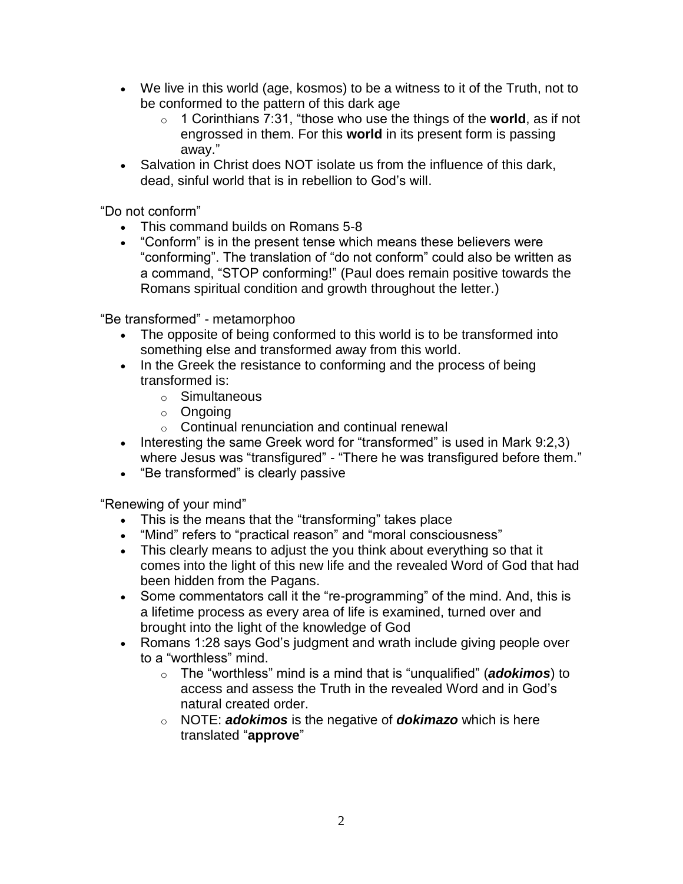- We live in this world (age, kosmos) to be a witness to it of the Truth, not to be conformed to the pattern of this dark age
	- o 1 Corinthians 7:31, "those who use the things of the **world**, as if not engrossed in them. For this **world** in its present form is passing away."
- Salvation in Christ does NOT isolate us from the influence of this dark, dead, sinful world that is in rebellion to God's will.

"Do not conform"

- This command builds on Romans 5-8
- "Conform" is in the present tense which means these believers were "conforming". The translation of "do not conform" could also be written as a command, "STOP conforming!" (Paul does remain positive towards the Romans spiritual condition and growth throughout the letter.)

"Be transformed" - metamorphoo

- The opposite of being conformed to this world is to be transformed into something else and transformed away from this world.
- In the Greek the resistance to conforming and the process of being transformed is:
	- o Simultaneous
	- o Ongoing
	- $\circ$  Continual renunciation and continual renewal
- Interesting the same Greek word for "transformed" is used in Mark  $9:2,3$ ) where Jesus was "transfigured" - "There he was transfigured before them."
- "Be transformed" is clearly passive

"Renewing of your mind"

- This is the means that the "transforming" takes place
- "Mind" refers to "practical reason" and "moral consciousness"
- This clearly means to adjust the you think about everything so that it comes into the light of this new life and the revealed Word of God that had been hidden from the Pagans.
- Some commentators call it the "re-programming" of the mind. And, this is a lifetime process as every area of life is examined, turned over and brought into the light of the knowledge of God
- Romans 1:28 says God's judgment and wrath include giving people over to a "worthless" mind.
	- o The "worthless" mind is a mind that is "unqualified" (*adokimos*) to access and assess the Truth in the revealed Word and in God's natural created order.
	- o NOTE: *adokimos* is the negative of *dokimazo* which is here translated "**approve**"